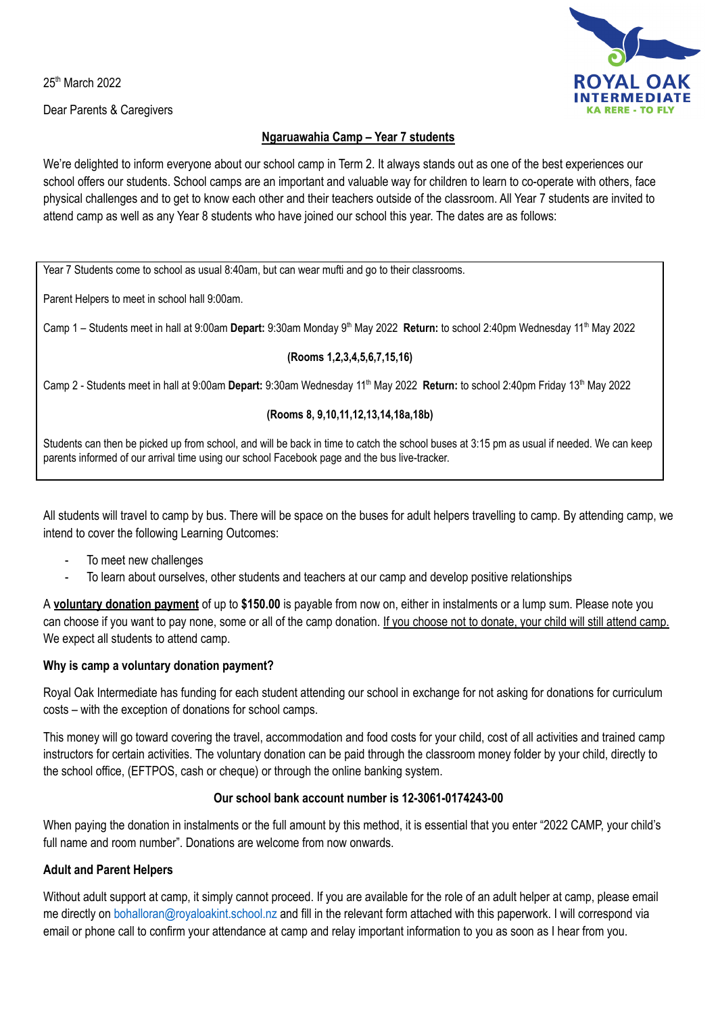25<sup>th</sup> March 2022

Dear Parents & Caregivers



### **Ngaruawahia Camp – Year 7 students**

We're delighted to inform everyone about our school camp in Term 2. It always stands out as one of the best experiences our school offers our students. School camps are an important and valuable way for children to learn to co-operate with others, face physical challenges and to get to know each other and their teachers outside of the classroom. All Year 7 students are invited to attend camp as well as any Year 8 students who have joined our school this year. The dates are as follows:

Year 7 Students come to school as usual 8:40am, but can wear mufti and go to their classrooms.

Parent Helpers to meet in school hall 9:00am.

Camp 1 – Students meet in hall at 9:00am Depart: 9:30am Monday 9<sup>th</sup> May 2022 Return: to school 2:40pm Wednesday 11<sup>th</sup> May 2022

### **(Rooms 1,2,3,4,5,6,7,15,16)**

Camp 2 - Students meet in hall at 9:00am Depart: 9:30am Wednesday 11<sup>th</sup> May 2022 Return: to school 2:40pm Friday 13<sup>th</sup> May 2022

### **(Rooms 8, 9,10,11,12,13,14,18a,18b)**

Students can then be picked up from school, and will be back in time to catch the school buses at 3:15 pm as usual if needed. We can keep parents informed of our arrival time using our school Facebook page and the bus live-tracker.

All students will travel to camp by bus. There will be space on the buses for adult helpers travelling to camp. By attending camp, we intend to cover the following Learning Outcomes:

- To meet new challenges
- To learn about ourselves, other students and teachers at our camp and develop positive relationships

A **voluntary donation payment** of up to **\$150.00** is payable from now on, either in instalments or a lump sum. Please note you can choose if you want to pay none, some or all of the camp donation. If you choose not to donate, your child will still attend camp. We expect all students to attend camp.

### **Why is camp a voluntary donation payment?**

Royal Oak Intermediate has funding for each student attending our school in exchange for not asking for donations for curriculum costs – with the exception of donations for school camps.

This money will go toward covering the travel, accommodation and food costs for your child, cost of all activities and trained camp instructors for certain activities. The voluntary donation can be paid through the classroom money folder by your child, directly to the school office, (EFTPOS, cash or cheque) or through the online banking system.

### **Our school bank account number is 12-3061-0174243-00**

When paying the donation in instalments or the full amount by this method, it is essential that you enter "2022 CAMP, your child's full name and room number". Donations are welcome from now onwards.

### **Adult and Parent Helpers**

Without adult support at camp, it simply cannot proceed. If you are available for the role of an adult helper at camp, please email me directly on bohalloran@royaloakint.school.nz and fill in the relevant form attached with this paperwork. I will correspond via email or phone call to confirm your attendance at camp and relay important information to you as soon as I hear from you.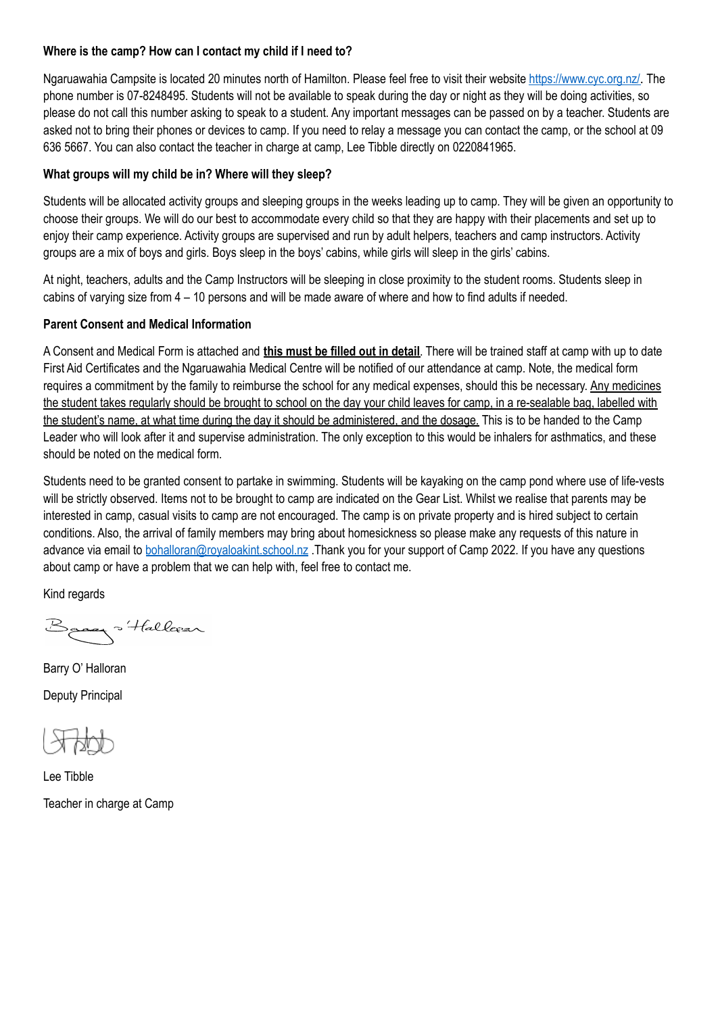### **Where is the camp? How can I contact my child if I need to?**

Ngaruawahia Campsite is located 20 minutes north of Hamilton. Please feel free to visit their website https://www.cyc.org.nz/. The phone number is 07-8248495. Students will not be available to speak during the day or night as they will be doing activities, so please do not call this number asking to speak to a student. Any important messages can be passed on by a teacher. Students are asked not to bring their phones or devices to camp. If you need to relay a message you can contact the camp, or the school at 09 636 5667. You can also contact the teacher in charge at camp, Lee Tibble directly on 0220841965.

### **What groups will my child be in? Where will they sleep?**

Students will be allocated activity groups and sleeping groups in the weeks leading up to camp. They will be given an opportunity to choose their groups. We will do our best to accommodate every child so that they are happy with their placements and set up to enjoy their camp experience. Activity groups are supervised and run by adult helpers, teachers and camp instructors. Activity groups are a mix of boys and girls. Boys sleep in the boys' cabins, while girls will sleep in the girls' cabins.

At night, teachers, adults and the Camp Instructors will be sleeping in close proximity to the student rooms. Students sleep in cabins of varying size from 4 – 10 persons and will be made aware of where and how to find adults if needed.

### **Parent Consent and Medical Information**

A Consent and Medical Form is attached and **this must be filled out in detail**. There will be trained staff at camp with up to date First Aid Certificates and the Ngaruawahia Medical Centre will be notified of our attendance at camp. Note, the medical form requires a commitment by the family to reimburse the school for any medical expenses, should this be necessary. Any medicines the student takes regularly should be brought to school on the day your child leaves for camp, in a re-sealable bag, labelled with the student's name, at what time during the day it should be administered, and the dosage. This is to be handed to the Camp Leader who will look after it and supervise administration. The only exception to this would be inhalers for asthmatics, and these should be noted on the medical form.

Students need to be granted consent to partake in swimming. Students will be kayaking on the camp pond where use of life-vests will be strictly observed. Items not to be brought to camp are indicated on the Gear List. Whilst we realise that parents may be interested in camp, casual visits to camp are not encouraged. The camp is on private property and is hired subject to certain conditions. Also, the arrival of family members may bring about homesickness so please make any requests of this nature in advance via email to bohalloran@royaloakint.school.nz .Thank you for your support of Camp 2022. If you have any questions about camp or have a problem that we can help with, feel free to contact me.

Kind regards

Basey Hallorar

Barry O' Halloran Deputy Principal

Lee Tibble Teacher in charge at Camp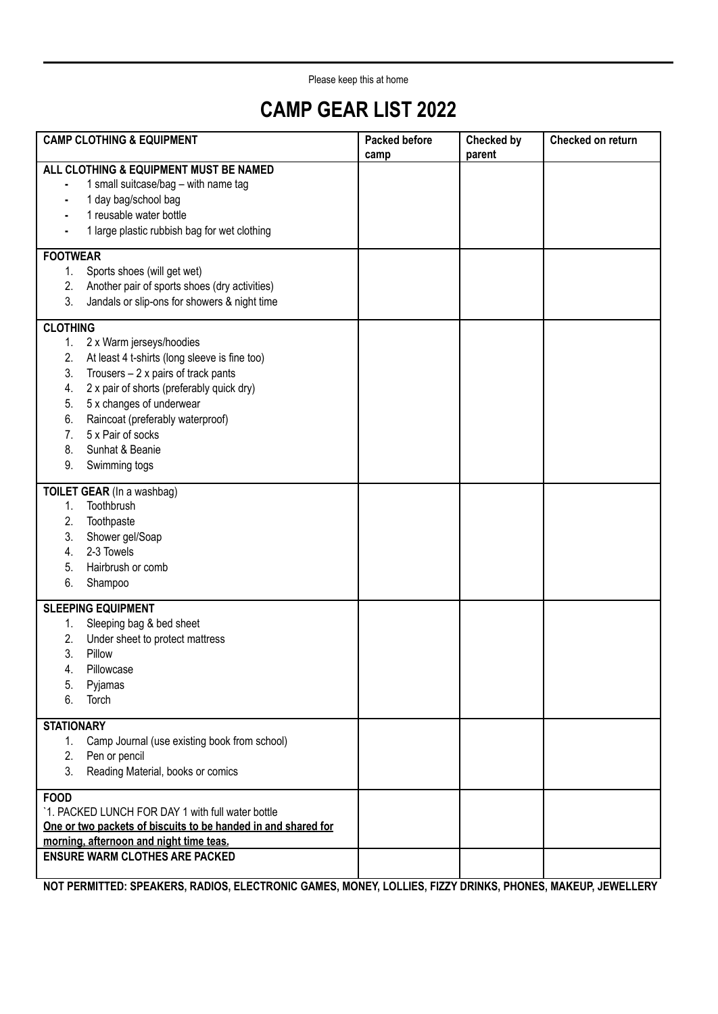Please keep this at home

## **CAMP GEAR LIST 2022**

| <b>CAMP CLOTHING &amp; EQUIPMENT</b>                                                                                                                                                                                                                                                                                                                     | <b>Packed before</b><br>camp | <b>Checked by</b><br>parent | Checked on return |
|----------------------------------------------------------------------------------------------------------------------------------------------------------------------------------------------------------------------------------------------------------------------------------------------------------------------------------------------------------|------------------------------|-----------------------------|-------------------|
| ALL CLOTHING & EQUIPMENT MUST BE NAMED<br>1 small suitcase/bag - with name tag<br>1 day bag/school bag<br>1 reusable water bottle<br>1 large plastic rubbish bag for wet clothing                                                                                                                                                                        |                              |                             |                   |
| <b>FOOTWEAR</b>                                                                                                                                                                                                                                                                                                                                          |                              |                             |                   |
| Sports shoes (will get wet)<br>1.<br>2.<br>Another pair of sports shoes (dry activities)<br>3.<br>Jandals or slip-ons for showers & night time                                                                                                                                                                                                           |                              |                             |                   |
| <b>CLOTHING</b>                                                                                                                                                                                                                                                                                                                                          |                              |                             |                   |
| 2 x Warm jerseys/hoodies<br>1.<br>2.<br>At least 4 t-shirts (long sleeve is fine too)<br>3.<br>Trousers $-2x$ pairs of track pants<br>2 x pair of shorts (preferably quick dry)<br>4.<br>5 x changes of underwear<br>5.<br>Raincoat (preferably waterproof)<br>6.<br>5 x Pair of socks<br>7 <sub>1</sub><br>Sunhat & Beanie<br>8.<br>9.<br>Swimming togs |                              |                             |                   |
| TOILET GEAR (In a washbag)                                                                                                                                                                                                                                                                                                                               |                              |                             |                   |
| Toothbrush<br>1.<br>2.<br>Toothpaste<br>3.<br>Shower gel/Soap<br>2-3 Towels<br>4.<br>Hairbrush or comb<br>5.<br>6.<br>Shampoo                                                                                                                                                                                                                            |                              |                             |                   |
| <b>SLEEPING EQUIPMENT</b>                                                                                                                                                                                                                                                                                                                                |                              |                             |                   |
| Sleeping bag & bed sheet<br>1.<br>2.<br>Under sheet to protect mattress<br>3.<br>Pillow<br>Pillowcase<br>4.<br>5.<br>Pyjamas<br>Torch<br>6.                                                                                                                                                                                                              |                              |                             |                   |
| <b>STATIONARY</b>                                                                                                                                                                                                                                                                                                                                        |                              |                             |                   |
| Camp Journal (use existing book from school)<br>1.<br>2.<br>Pen or pencil<br>3.<br>Reading Material, books or comics                                                                                                                                                                                                                                     |                              |                             |                   |
| <b>FOOD</b><br>'1. PACKED LUNCH FOR DAY 1 with full water bottle<br>One or two packets of biscuits to be handed in and shared for<br>morning, afternoon and night time teas.                                                                                                                                                                             |                              |                             |                   |
| <b>ENSURE WARM CLOTHES ARE PACKED</b>                                                                                                                                                                                                                                                                                                                    |                              |                             |                   |

**NOT PERMITTED: SPEAKERS, RADIOS, ELECTRONIC GAMES, MONEY, LOLLIES, FIZZY DRINKS, PHONES, MAKEUP, JEWELLERY**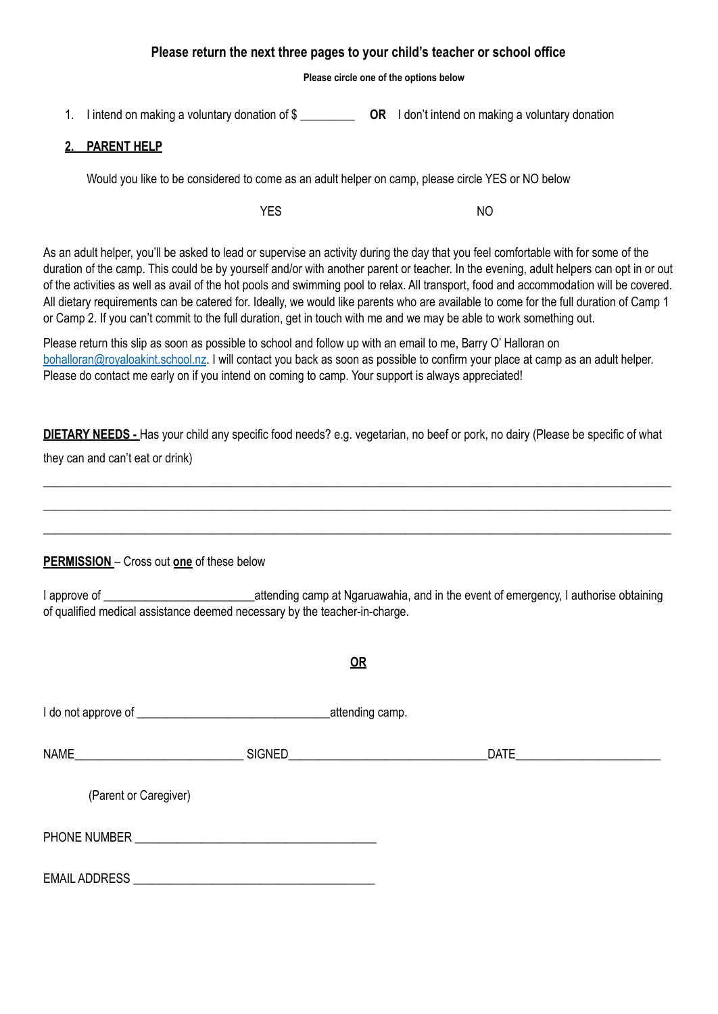### **Please return the next three pages to your child's teacher or school office**

#### **Please circle one of the options below**

1. I intend on making a voluntary donation of \$ \_\_\_\_\_\_\_\_\_ **OR** I don't intend on making a voluntary donation

### **2. PARENT HELP**

Would you like to be considered to come as an adult helper on camp, please circle YES or NO below

YES NO

As an adult helper, you'll be asked to lead or supervise an activity during the day that you feel comfortable with for some of the duration of the camp. This could be by yourself and/or with another parent or teacher. In the evening, adult helpers can opt in or out of the activities as well as avail of the hot pools and swimming pool to relax. All transport, food and accommodation will be covered. All dietary requirements can be catered for. Ideally, we would like parents who are available to come for the full duration of Camp 1 or Camp 2. If you can't commit to the full duration, get in touch with me and we may be able to work something out.

Please return this slip as soon as possible to school and follow up with an email to me, Barry O' Halloran on bohalloran@royaloakint.school.nz. I will contact you back as soon as possible to confirm your place at camp as an adult helper. Please do contact me early on if you intend on coming to camp. Your support is always appreciated!

**DIETARY NEEDS -** Has your child any specific food needs? e.g. vegetarian, no beef or pork, no dairy (Please be specific of what they can and can't eat or drink)

\_\_\_\_\_\_\_\_\_\_\_\_\_\_\_\_\_\_\_\_\_\_\_\_\_\_\_\_\_\_\_\_\_\_\_\_\_\_\_\_\_\_\_\_\_\_\_\_\_\_\_\_\_\_\_\_\_\_\_\_\_\_\_\_\_\_\_\_\_\_\_\_\_\_\_\_\_\_\_\_\_\_\_\_\_\_\_\_\_\_\_\_\_\_\_\_\_\_\_\_\_\_\_\_ \_\_\_\_\_\_\_\_\_\_\_\_\_\_\_\_\_\_\_\_\_\_\_\_\_\_\_\_\_\_\_\_\_\_\_\_\_\_\_\_\_\_\_\_\_\_\_\_\_\_\_\_\_\_\_\_\_\_\_\_\_\_\_\_\_\_\_\_\_\_\_\_\_\_\_\_\_\_\_\_\_\_\_\_\_\_\_\_\_\_\_\_\_\_\_\_\_\_\_\_\_\_\_\_ \_\_\_\_\_\_\_\_\_\_\_\_\_\_\_\_\_\_\_\_\_\_\_\_\_\_\_\_\_\_\_\_\_\_\_\_\_\_\_\_\_\_\_\_\_\_\_\_\_\_\_\_\_\_\_\_\_\_\_\_\_\_\_\_\_\_\_\_\_\_\_\_\_\_\_\_\_\_\_\_\_\_\_\_\_\_\_\_\_\_\_\_\_\_\_\_\_\_\_\_\_\_\_\_

### **PERMISSION** – Cross out **one** of these below

I approve of **Example 2** attending camp at Ngaruawahia, and in the event of emergency, I authorise obtaining of qualified medical assistance deemed necessary by the teacher-in-charge.

**OR**

|                                                  | _attending camp. |      |  |
|--------------------------------------------------|------------------|------|--|
|                                                  |                  | DATE |  |
| (Parent or Caregiver)                            |                  |      |  |
| PHONE NUMBER <b>EXAMPLE AND THE SET OF STATE</b> |                  |      |  |
|                                                  |                  |      |  |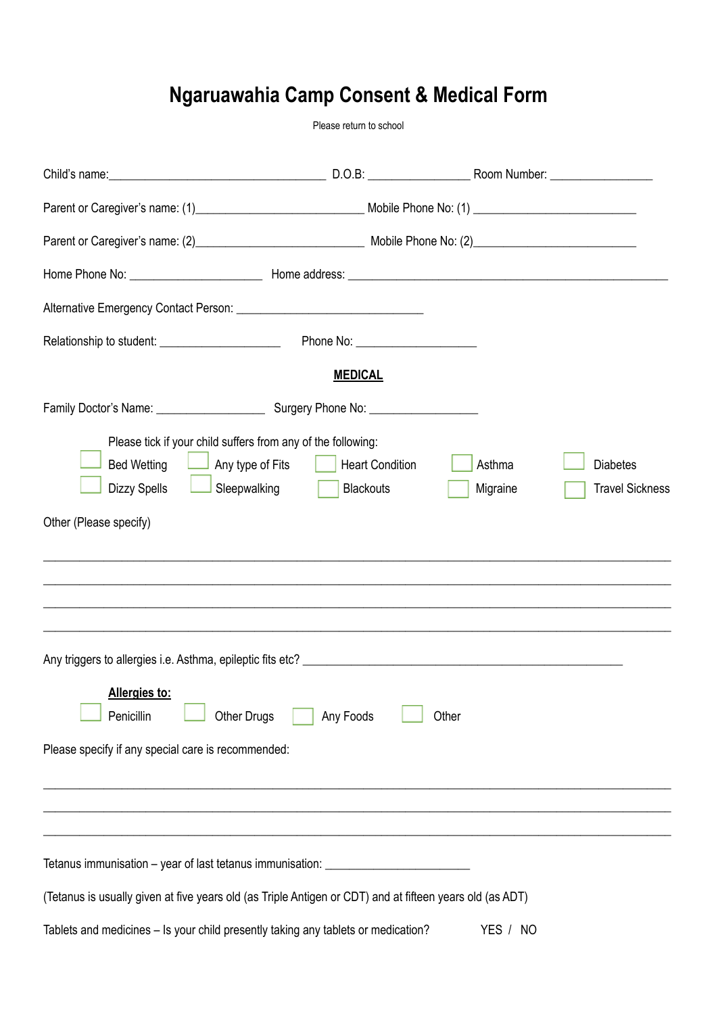# **Ngaruawahia Camp Consent & Medical Form**

Please return to school

|                                                                                                                                                      | Phone No: ______________________           |                    |                                           |
|------------------------------------------------------------------------------------------------------------------------------------------------------|--------------------------------------------|--------------------|-------------------------------------------|
|                                                                                                                                                      | <b>MEDICAL</b>                             |                    |                                           |
|                                                                                                                                                      |                                            |                    |                                           |
| Please tick if your child suffers from any of the following:<br><b>Bed Wetting</b><br>$\Box$ Any type of Fits<br><b>Dizzy Spells</b><br>Sleepwalking | <b>Heart Condition</b><br><b>Blackouts</b> | Asthma<br>Migraine | <b>Diabetes</b><br><b>Travel Sickness</b> |
| Other (Please specify)                                                                                                                               |                                            |                    |                                           |
|                                                                                                                                                      |                                            |                    |                                           |
|                                                                                                                                                      |                                            |                    |                                           |
|                                                                                                                                                      |                                            |                    |                                           |
|                                                                                                                                                      |                                            |                    |                                           |
| Allergies to:<br><b>Other Drugs</b><br>Penicillin                                                                                                    | Any Foods                                  | Other              |                                           |
| Please specify if any special care is recommended:                                                                                                   |                                            |                    |                                           |
|                                                                                                                                                      |                                            |                    |                                           |
|                                                                                                                                                      |                                            |                    |                                           |
| Tetanus immunisation - year of last tetanus immunisation: ______________________                                                                     |                                            |                    |                                           |
| (Tetanus is usually given at five years old (as Triple Antigen or CDT) and at fifteen years old (as ADT)                                             |                                            |                    |                                           |
| Tablets and medicines - Is your child presently taking any tablets or medication?                                                                    |                                            | YES / NO           |                                           |